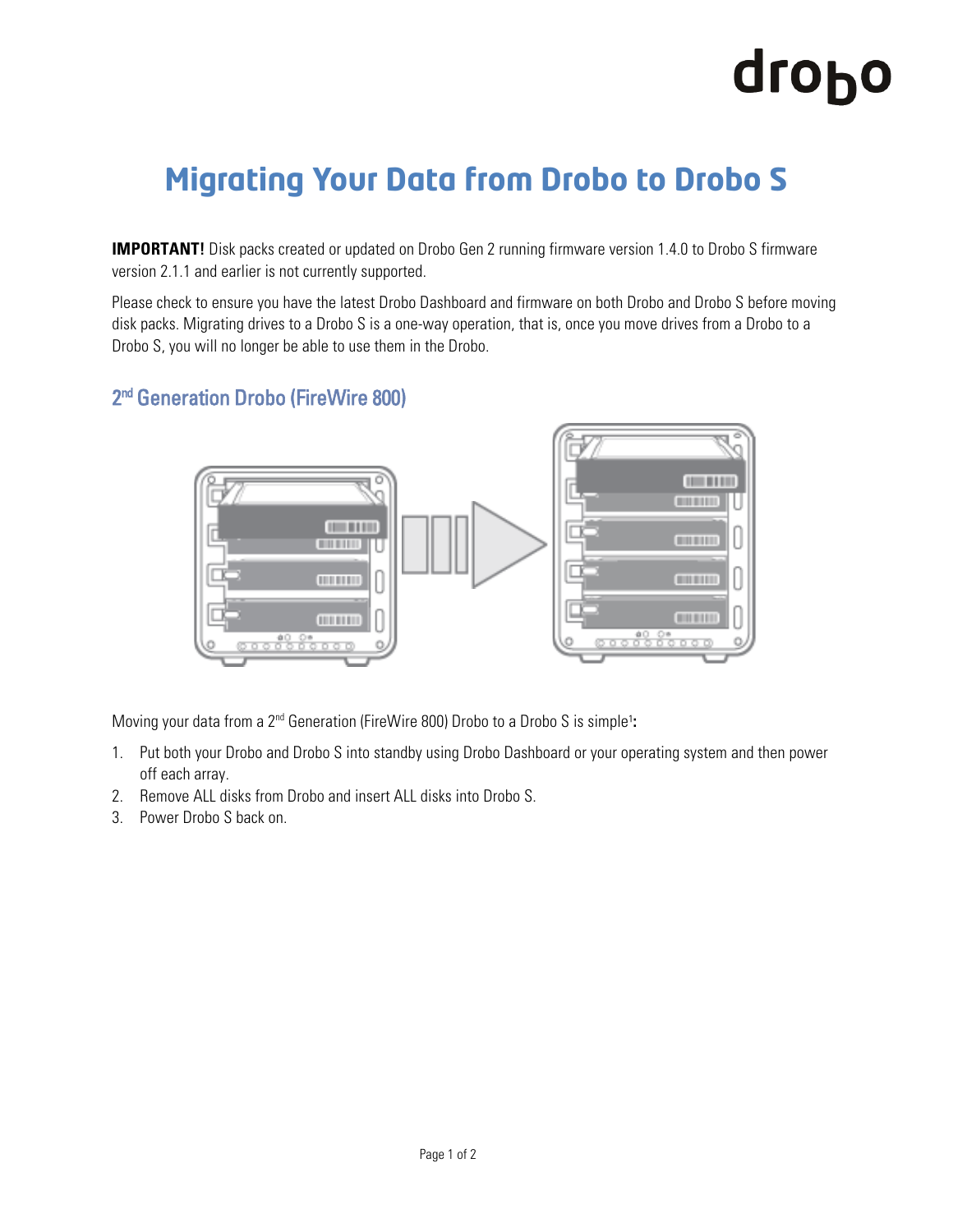## drobo

### **Migrating Your Data from Drobo to Drobo S**

**IMPORTANT!** Disk packs created or updated on Drobo Gen 2 running firmware version 1.4.0 to Drobo S firmware version 2.1.1 and earlier is not currently supported.

Please check to ensure you have the latest Drobo Dashboard and firmware on both Drobo and Drobo S before moving disk packs. Migrating drives to a Drobo S is a one-way operation, that is, once you move drives from a Drobo to a Drobo S, you will no longer be able to use them in the Drobo.

#### 2<sup>nd</sup> Generation Drobo (FireWire 800)



Moving your data from a 2<sup>nd</sup> Generation (FireWire 800) Drobo to a Drobo S is simple<sup>1</sup>:

- 1. Put both your Drobo and Drobo S into standby using Drobo Dashboard or your operating system and then power off each array.
- 2. Remove ALL disks from Drobo and insert ALL disks into Drobo S.
- 3. Power Drobo S back on.